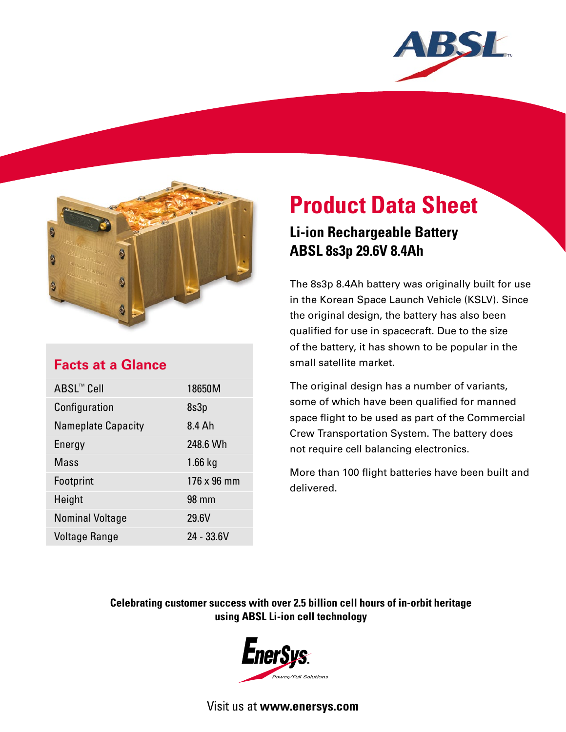



## **Facts at a Glance**

| ABSL™ Cell                | 18650M      |
|---------------------------|-------------|
|                           |             |
| Configuration             | 8s3p        |
| <b>Nameplate Capacity</b> | 8.4 Ah      |
| Energy                    | 248.6 Wh    |
| Mass                      | $1.66$ kg   |
| Footprint                 | 176 x 96 mm |
| Height                    | 98 mm       |
| <b>Nominal Voltage</b>    | 29.6V       |
| <b>Voltage Range</b>      | 24 - 33.6V  |

# **Product Data Sheet**

## **Li-ion Rechargeable Battery ABSL 8s3p 29.6V 8.4Ah**

The 8s3p 8.4Ah battery was originally built for use in the Korean Space Launch Vehicle (KSLV). Since the original design, the battery has also been qualified for use in spacecraft. Due to the size of the battery, it has shown to be popular in the small satellite market.

The original design has a number of variants, some of which have been qualified for manned space flight to be used as part of the Commercial Crew Transportation System. The battery does not require cell balancing electronics.

More than 100 flight batteries have been built and delivered.

### **Celebrating customer success with over 2.5 billion cell hours of in-orbit heritage using ABSL Li-ion cell technology**



Visit us at **www.enersys.com**